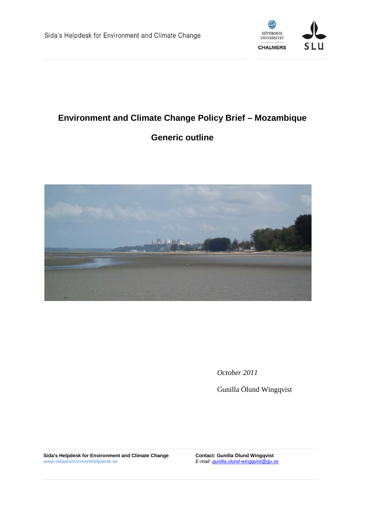

# **Environment and Climate Change Policy Brief – Mozambique**

# **Generic outline**



*October 2011*

Gunilla Ölund Wingqvist

**Sida's Helpdesk for Environment and Climate Change** www.sidaenvironmenthelpdesk.se

**Contact: Gunilla Ölund Wingqvist**  *E-mail: [gunilla.olund-wingqvist@gu.se](mailto:gunilla.olund-wingqvist@gu.se)*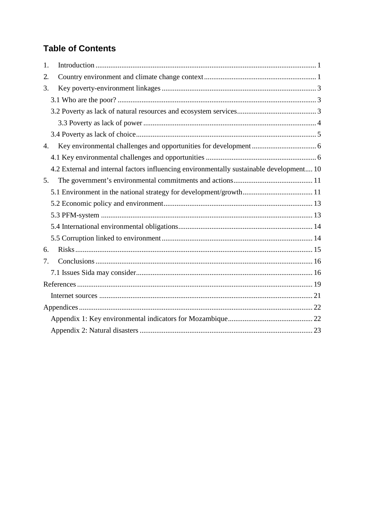# **Table of Contents**

| 1.                                                                                       |
|------------------------------------------------------------------------------------------|
| 2.                                                                                       |
| 3.                                                                                       |
|                                                                                          |
|                                                                                          |
|                                                                                          |
|                                                                                          |
| 4.                                                                                       |
|                                                                                          |
| 4.2 External and internal factors influencing environmentally sustainable development 10 |
| 5.                                                                                       |
|                                                                                          |
|                                                                                          |
|                                                                                          |
|                                                                                          |
|                                                                                          |
| 6.                                                                                       |
| 7.                                                                                       |
|                                                                                          |
|                                                                                          |
|                                                                                          |
|                                                                                          |
|                                                                                          |
|                                                                                          |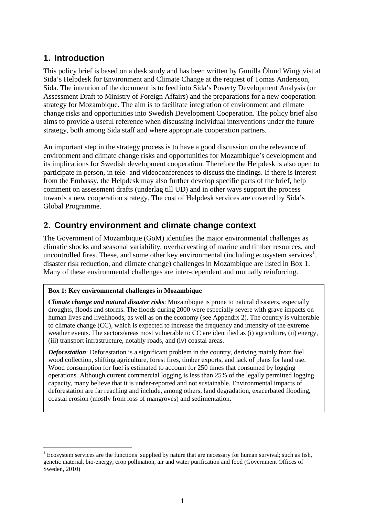## <span id="page-2-0"></span>**1. Introduction**

This policy brief is based on a desk study and has been written by Gunilla Ölund Wingqvist at Sida's Helpdesk for Environment and Climate Change at the request of Tomas Andersson, Sida. The intention of the document is to feed into Sida's Poverty Development Analysis (or Assessment Draft to Ministry of Foreign Affairs) and the preparations for a new cooperation strategy for Mozambique. The aim is to facilitate integration of environment and climate change risks and opportunities into Swedish Development Cooperation. The policy brief also aims to provide a useful reference when discussing individual interventions under the future strategy, both among Sida staff and where appropriate cooperation partners.

An important step in the strategy process is to have a good discussion on the relevance of environment and climate change risks and opportunities for Mozambique's development and its implications for Swedish development cooperation. Therefore the Helpdesk is also open to participate in person, in tele- and videoconferences to discuss the findings. If there is interest from the Embassy, the Helpdesk may also further develop specific parts of the brief, help comment on assessment drafts (underlag till UD) and in other ways support the process towards a new cooperation strategy. The cost of Helpdesk services are covered by Sida's Global Programme.

# <span id="page-2-1"></span>**2. Country environment and climate change context**

The Government of Mozambique (GoM) identifies the major environmental challenges as climatic shocks and seasonal variability, overharvesting of marine and timber resources, and uncontrolled fires. These, and some other key environmental (including ecosystem services<sup>[1](#page-2-2)</sup>, disaster risk reduction, and climate change) challenges in Mozambique are listed in Box 1. Many of these environmental challenges are inter-dependent and mutually reinforcing.

#### **Box 1: Key environmental challenges in Mozambique**

*Climate change and natural disaster risks*: Mozambique is prone to natural disasters, especially droughts, floods and storms. The floods during 2000 were especially severe with grave impacts on human lives and livelihoods, as well as on the economy (see Appendix 2). The country is vulnerable to climate change (CC), which is expected to increase the frequency and intensity of the extreme weather events. The sectors/areas most vulnerable to CC are identified as (i) agriculture, (ii) energy, (iii) transport infrastructure, notably roads, and (iv) coastal areas.

*Deforestation*: Deforestation is a significant problem in the country, deriving mainly from fuel wood collection, shifting agriculture, forest fires, timber exports, and lack of plans for land use. Wood consumption for fuel is estimated to account for 250 times that consumed by logging operations. Although current commercial logging is less than 25% of the legally permitted logging capacity, many believe that it is under-reported and not sustainable. Environmental impacts of deforestation are far reaching and include, among others, land degradation, exacerbated flooding, coastal erosion (mostly from loss of mangroves) and sedimentation.

<span id="page-2-2"></span><sup>&</sup>lt;sup>1</sup> Ecosystem services are the functions supplied by nature that are necessary for human survival; such as fish, genetic material, bio-energy, crop pollination, air and water purification and food (Government Offices of Sweden, 2010)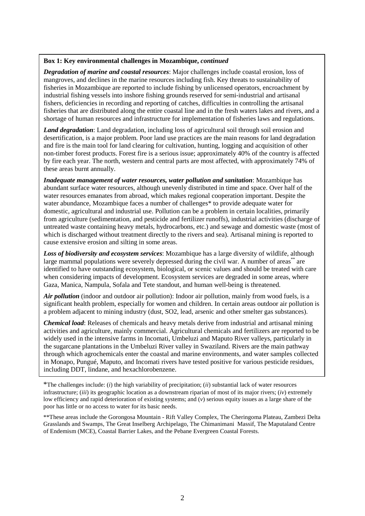#### **Box 1: Key environmental challenges in Mozambique,** *continued*

*Degradation of marine and coastal resources*: Major challenges include coastal erosion, loss of mangroves, and declines in the marine resources including fish. Key threats to sustainability of fisheries in Mozambique are reported to include fishing by unlicensed operators, encroachment by industrial fishing vessels into inshore fishing grounds reserved for semi-industrial and artisanal fishers, deficiencies in recording and reporting of catches, difficulties in controlling the artisanal fisheries that are distributed along the entire coastal line and in the fresh waters lakes and rivers, and a shortage of human resources and infrastructure for implementation of fisheries laws and regulations.

*Land degradation*: Land degradation, including loss of agricultural soil through soil erosion and desertification, is a major problem. Poor land use practices are the main reasons for land degradation and fire is the main tool for land clearing for cultivation, hunting, logging and acquisition of other non-timber forest products. Forest fire is a serious issue; approximately 40% of the country is affected by fire each year. The north, western and central parts are most affected, with approximately 74% of these areas burnt annually.

*Inadequate management of water resources, water pollution and sanitation*: Mozambique has abundant surface water resources, although unevenly distributed in time and space. Over half of the water resources emanates from abroad, which makes regional cooperation important. Despite the water abundance, Mozambique faces a number of challenges\* to provide adequate water for domestic, agricultural and industrial use. Pollution can be a problem in certain localities, primarily from agriculture (sedimentation, and pesticide and fertilizer runoffs), industrial activities (discharge of untreated waste containing heavy metals, hydrocarbons, etc.) and sewage and domestic waste (most of which is discharged without treatment directly to the rivers and sea). Artisanal mining is reported to cause extensive erosion and silting in some areas.

*Loss of biodiversity and ecosystem services*: Mozambique has a large diversity of wildlife, although large mammal populations were severely depressed during the civil war. A number of areas<sup>\*\*</sup> are identified to have outstanding ecosystem, biological, or scenic values and should be treated with care when considering impacts of development. Ecosystem services are degraded in some areas, where Gaza, Manica, Nampula, Sofala and Tete standout, and human well-being is threatened.

*Air pollution* (indoor and outdoor air pollution): Indoor air pollution, mainly from wood fuels, is a significant health problem, especially for women and children. In certain areas outdoor air pollution is a problem adjacent to mining industry (dust, SO2, lead, arsenic and other smelter gas substances).

*Chemical load*: Releases of chemicals and heavy metals derive from industrial and artisanal mining activities and agriculture, mainly commercial. Agricultural chemicals and fertilizers are reported to be widely used in the intensive farms in Incomati, Umbeluzi and Maputo River valleys, particularly in the sugarcane plantations in the Umbeluzi River valley in Swaziland. Rivers are the main pathway through which agrochemicals enter the coastal and marine environments, and water samples collected in Monapo, Pungué, Maputo, and Incomati rivers have tested positive for various pesticide residues, including DDT, lindane, and hexachlorobenzene.

\*\*These areas include the Gorongosa Mountain - Rift Valley Complex, The Cheringoma Plateau, Zambezi Delta Grasslands and Swamps, The Great Inselberg Archipelago, The Chimanimani Massif, The Maputaland Centre of Endemism (MCE), Coastal Barrier Lakes, and the Pebane Evergreen Coastal Forests.

<sup>\*</sup>The challenges include: (*i*) the high variability of precipitation; (*ii*) substantial lack of water resources infrastructure; (*iii*) its geographic location as a downstream riparian of most of its major rivers; (*iv*) extremely low efficiency and rapid deterioration of existing systems; and (*v*) serious equity issues as a large share of the poor has little or no access to water for its basic needs.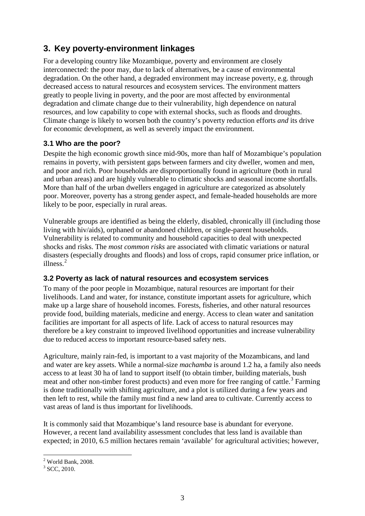## <span id="page-4-0"></span>**3. Key poverty-environment linkages**

For a developing country like Mozambique, poverty and environment are closely interconnected: the poor may, due to lack of alternatives, be a cause of environmental degradation. On the other hand, a degraded environment may increase poverty, e.g. through decreased access to natural resources and ecosystem services. The environment matters greatly to people living in poverty, and the poor are most affected by environmental degradation and climate change due to their vulnerability, high dependence on natural resources, and low capability to cope with external shocks, such as floods and droughts. Climate change is likely to worsen both the country's poverty reduction efforts *and* its drive for economic development, as well as severely impact the environment.

#### <span id="page-4-1"></span>**3.1 Who are the poor?**

Despite the high economic growth since mid-90s, more than half of Mozambique's population remains in poverty, with persistent gaps between farmers and city dweller, women and men, and poor and rich. Poor households are disproportionally found in agriculture (both in rural and urban areas) and are highly vulnerable to climatic shocks and seasonal income shortfalls. More than half of the urban dwellers engaged in agriculture are categorized as absolutely poor. Moreover, poverty has a strong gender aspect, and female-headed households are more likely to be poor, especially in rural areas.

Vulnerable groups are identified as being the elderly, disabled, chronically ill (including those living with hiv/aids), orphaned or abandoned children, or single-parent households. Vulnerability is related to community and household capacities to deal with unexpected shocks and risks. The *most common risks* are associated with climatic variations or natural disasters (especially droughts and floods) and loss of crops, rapid consumer price inflation, or illness.[2](#page-4-3)

#### <span id="page-4-2"></span>**3.2 Poverty as lack of natural resources and ecosystem services**

To many of the poor people in Mozambique, natural resources are important for their livelihoods. Land and water, for instance, constitute important assets for agriculture, which make up a large share of household incomes. Forests, fisheries, and other natural resources provide food, building materials, medicine and energy. Access to clean water and sanitation facilities are important for all aspects of life. Lack of access to natural resources may therefore be a key constraint to improved livelihood opportunities and increase vulnerability due to reduced access to important resource-based safety nets.

Agriculture, mainly rain-fed, is important to a vast majority of the Mozambicans, and land and water are key assets. While a normal-size *machamba* is around 1.2 ha, a family also needs access to at least 30 ha of land to support itself (to obtain timber, building materials, bush meat and other non-timber forest products) and even more for free ranging of cattle.<sup>[3](#page-4-4)</sup> Farming is done traditionally with shifting agriculture, and a plot is utilized during a few years and then left to rest, while the family must find a new land area to cultivate. Currently access to vast areas of land is thus important for livelihoods.

It is commonly said that Mozambique's land resource base is abundant for everyone. However, a recent land availability assessment concludes that less land is available than expected; in 2010, 6.5 million hectares remain 'available' for agricultural activities; however,

<span id="page-4-3"></span> $2$  World Bank, 2008.

<span id="page-4-4"></span> $3$  SCC, 2010.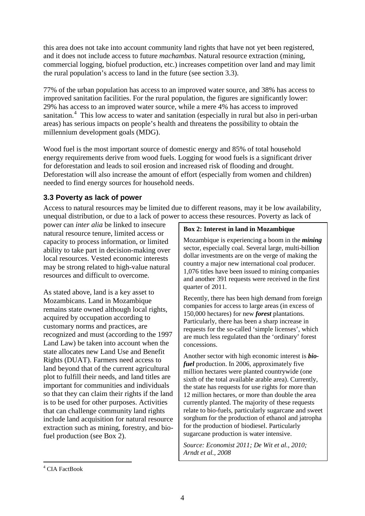this area does not take into account community land rights that have not yet been registered, and it does not include access to future *machambas*. Natural resource extraction (mining, commercial logging, biofuel production, etc.) increases competition over land and may limit the rural population's access to land in the future (see section 3.3).

77% of the urban population has access to an improved water source, and 38% has access to improved sanitation facilities. For the rural population, the figures are significantly lower: 29% has access to an improved water source, while a mere 4% has access to improved sanitation.<sup>[4](#page-5-1)</sup> This low access to water and sanitation (especially in rural but also in peri-urban areas) has serious impacts on people's health and threatens the possibility to obtain the millennium development goals (MDG).

Wood fuel is the most important source of domestic energy and 85% of total household energy requirements derive from wood fuels. Logging for wood fuels is a significant driver for deforestation and leads to soil erosion and increased risk of flooding and drought. Deforestation will also increase the amount of effort (especially from women and children) needed to find energy sources for household needs.

#### <span id="page-5-0"></span>**3.3 Poverty as lack of power**

Access to natural resources may be limited due to different reasons, may it be low availability, unequal distribution, or due to a lack of power to access these resources. Poverty as lack of

power can *inter alia* be linked to insecure natural resource tenure, limited access or capacity to process information, or limited ability to take part in decision-making over local resources. Vested economic interests may be strong related to high-value natural resources and difficult to overcome.

As stated above, land is a key asset to Mozambicans. Land in Mozambique remains state owned although local rights, acquired by occupation according to customary norms and practices, are recognized and must (according to the 1997 Land Law) be taken into account when the state allocates new Land Use and Benefit Rights (DUAT). Farmers need access to land beyond that of the current agricultural plot to fulfill their needs, and land titles are important for communities and individuals so that they can claim their rights if the land is to be used for other purposes. Activities that can challenge community land rights include land acquisition for natural resource extraction such as mining, forestry, and biofuel production (see Box 2).

#### **Box 2: Interest in land in Mozambique**

Mozambique is experiencing a boom in the *mining* sector, especially coal. Several large, multi-billion dollar investments are on the verge of making the country a major new international coal producer. 1,076 titles have been issued to mining companies and another 391 requests were received in the first quarter of 2011.

Recently, there has been high demand from foreign companies for access to large areas (in excess of 150,000 hectares) for new *forest* plantations. Particularly, there has been a sharp increase in requests for the so-called 'simple licenses', which are much less regulated than the 'ordinary' forest concessions.

Another sector with high economic interest is *biofuel* production. In 2006, approximately five million hectares were planted countrywide (one sixth of the total available arable area). Currently, the state has requests for use rights for more than 12 million hectares, or more than double the area currently planted. The majority of these requests relate to bio-fuels, particularly sugarcane and sweet sorghum for the production of ethanol and jatropha for the production of biodiesel. Particularly sugarcane production is water intensive.

*Source: Economist 2011; De Wit et al., 2010; Arndt et al., 2008*

<span id="page-5-1"></span> <sup>4</sup> CIA FactBook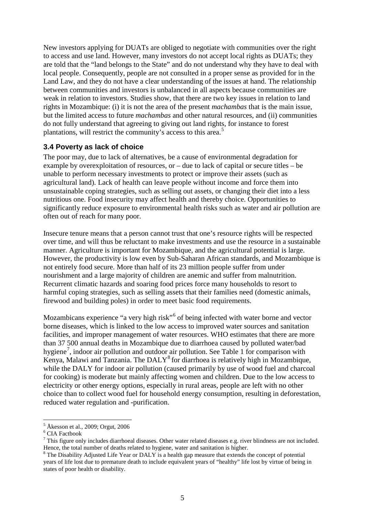New investors applying for DUATs are obliged to negotiate with communities over the right to access and use land. However, many investors do not accept local rights as DUATs; they are told that the "land belongs to the State" and do not understand why they have to deal with local people. Consequently, people are not consulted in a proper sense as provided for in the Land Law, and they do not have a clear understanding of the issues at hand. The relationship between communities and investors is unbalanced in all aspects because communities are weak in relation to investors. Studies show, that there are two key issues in relation to land rights in Mozambique: (i) it is not the area of the present *machambas* that is the main issue, but the limited access to future *machambas* and other natural resources, and (ii) communities do not fully understand that agreeing to giving out land rights, for instance to forest plantations, will restrict the community's access to this area.<sup>[5](#page-6-1)</sup>

#### <span id="page-6-0"></span>**3.4 Poverty as lack of choice**

The poor may, due to lack of alternatives, be a cause of environmental degradation for example by overexploitation of resources, or – due to lack of capital or secure titles – be unable to perform necessary investments to protect or improve their assets (such as agricultural land). Lack of health can leave people without income and force them into unsustainable coping strategies, such as selling out assets, or changing their diet into a less nutritious one. Food insecurity may affect health and thereby choice. Opportunities to significantly reduce exposure to environmental health risks such as water and air pollution are often out of reach for many poor.

Insecure tenure means that a person cannot trust that one's resource rights will be respected over time, and will thus be reluctant to make investments and use the resource in a sustainable manner. Agriculture is important for Mozambique, and the agricultural potential is large. However, the productivity is low even by Sub-Saharan African standards, and Mozambique is not entirely food secure. More than half of its 23 million people suffer from under nourishment and a large majority of children are anemic and suffer from malnutrition. Recurrent climatic hazards and soaring food prices force many households to resort to harmful coping strategies, such as selling assets that their families need (domestic animals, firewood and building poles) in order to meet basic food requirements.

Mozambicans experience "a very high risk"<sup>[6](#page-6-2)</sup> of being infected with water borne and vector borne diseases, which is linked to the low access to improved water sources and sanitation facilities, and improper management of water resources. WHO estimates that there are more than 37 500 annual deaths in Mozambique due to diarrhoea caused by polluted water/bad hygiene<sup>[7](#page-6-3)</sup>, indoor air pollution and outdoor air pollution. See Table 1 for comparison with  $K$ enya, Malawi and Tanzania. The DALY<sup>[8](#page-6-4)</sup> for diarrhoea is relatively high in Mozambique, while the DALY for indoor air pollution (caused primarily by use of wood fuel and charcoal for cooking) is moderate but mainly affecting women and children. Due to the low access to electricity or other energy options, especially in rural areas, people are left with no other choice than to collect wood fuel for household energy consumption, resulting in deforestation, reduced water regulation and -purification.

<span id="page-6-1"></span> $^5$ Åkesson et al., 2009; Orgut, 2006 $^6$ CIA Factbook

<span id="page-6-3"></span><span id="page-6-2"></span> $7$  This figure only includes diarrhoeal diseases. Other water related diseases e.g. river blindness are not included. Hence, the total number of deaths related to hygiene, water and sanitation is higher.

<span id="page-6-4"></span> $8$  The Disability Adjusted Life Year or DALY is a health gap measure that extends the concept of potential years of life lost due to premature death to include equivalent years of "healthy" life lost by virtue of being in states of poor health or disability.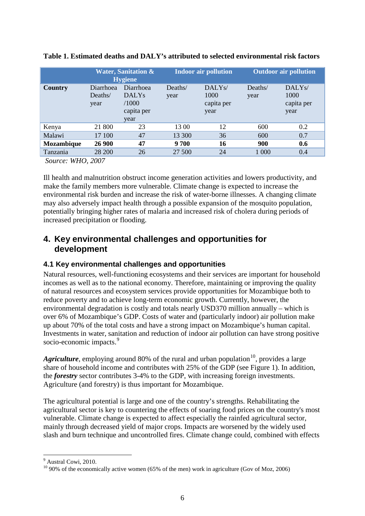|                   | Water, Sanitation &<br><b>Hygiene</b> |                                                          |                 | <b>Indoor air pollution</b>                       | <b>Outdoor air pollution</b> |                                                   |  |
|-------------------|---------------------------------------|----------------------------------------------------------|-----------------|---------------------------------------------------|------------------------------|---------------------------------------------------|--|
| <b>Country</b>    | Diarrhoea<br>Deaths/<br>year          | Diarrhoea<br><b>DALYs</b><br>/1000<br>capita per<br>year | Deaths/<br>year | DALY <sub>s</sub> /<br>1000<br>capita per<br>year | Deaths/<br>year              | DALY <sub>s</sub> /<br>1000<br>capita per<br>year |  |
| Kenya             | 21 800                                | 23                                                       | 13 00           | 12                                                | 600                          | 0.2                                               |  |
| Malawi            | 17 100                                | 47                                                       | 13 300          | 36                                                | 600                          | 0.7                                               |  |
| <b>Mozambique</b> | 26 900                                | 47                                                       | 9700            | 16                                                | 900                          | 0.6                                               |  |
| Tanzania          | 28 200                                | 26                                                       | 27 500          | 24                                                | 1 000                        | 0.4                                               |  |

**Table 1. Estimated deaths and DALY's attributed to selected environmental risk factors**

*Source: WHO, 2007*

Ill health and malnutrition obstruct income generation activities and lowers productivity, and make the family members more vulnerable. Climate change is expected to increase the environmental risk burden and increase the risk of water-borne illnesses. A changing climate may also adversely impact health through a possible expansion of the mosquito population, potentially bringing higher rates of malaria and increased risk of cholera during periods of increased precipitation or flooding.

### <span id="page-7-0"></span>**4. Key environmental challenges and opportunities for development**

#### <span id="page-7-1"></span>**4.1 Key environmental challenges and opportunities**

Natural resources, well-functioning ecosystems and their services are important for household incomes as well as to the national economy. Therefore, maintaining or improving the quality of natural resources and ecosystem services provide opportunities for Mozambique both to reduce poverty and to achieve long-term economic growth. Currently, however, the environmental degradation is costly and totals nearly USD370 million annually – which is over 6% of Mozambique's GDP. Costs of water and (particularly indoor) air pollution make up about 70% of the total costs and have a strong impact on Mozambique's human capital. Investments in water, sanitation and reduction of indoor air pollution can have strong positive socio-economic impacts.<sup>[9](#page-7-2)</sup>

*Agriculture*, employing around 80% of the rural and urban population<sup>10</sup>, provides a large share of household income and contributes with 25% of the GDP (see Figure 1). In addition, the *forestry* sector contributes 3-4% to the GDP, with increasing foreign investments. Agriculture (and forestry) is thus important for Mozambique.

The agricultural potential is large and one of the country's strengths. Rehabilitating the agricultural sector is key to countering the effects of soaring food prices on the country's most vulnerable. Climate change is expected to affect especially the rainfed agricultural sector, mainly through decreased yield of major crops. Impacts are worsened by the widely used slash and burn technique and uncontrolled fires. Climate change could, combined with effects

<span id="page-7-3"></span><span id="page-7-2"></span>

<sup>&</sup>lt;sup>9</sup> Austral Cowi, 2010.<br><sup>10</sup> 90% of the economically active women (65% of the men) work in agriculture (Gov of Moz, 2006)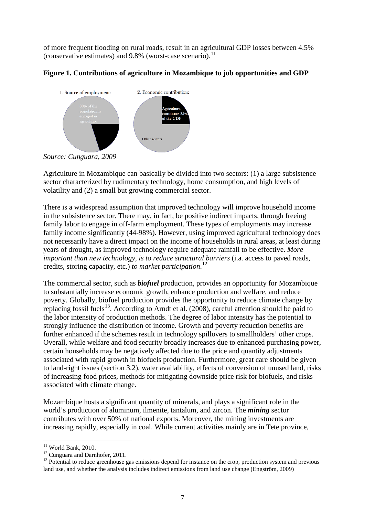of more frequent flooding on rural roads, result in an agricultural GDP losses between 4.5% (conservative estimates) and  $9.8\%$  (worst-case scenario).<sup>[11](#page-8-0)</sup>

**Figure 1. Contributions of agriculture in Mozambique to job opportunities and GDP**



*Source: Cunguara, 2009*

Agriculture in Mozambique can basically be divided into two sectors: (1) a large subsistence sector characterized by rudimentary technology, home consumption, and high levels of volatility and (2) a small but growing commercial sector.

There is a widespread assumption that improved technology will improve household income in the subsistence sector. There may, in fact, be positive indirect impacts, through freeing family labor to engage in off-farm employment. These types of employments may increase family income significantly (44-98%). However, using improved agricultural technology does not necessarily have a direct impact on the income of households in rural areas, at least during years of drought, as improved technology require adequate rainfall to be effective. *More important than new technology, is to reduce structural barriers* (i.a. access to paved roads, credits, storing capacity, etc.) *to market participation*. [12](#page-8-1)

The commercial sector, such as *biofuel* production, provides an opportunity for Mozambique to substantially increase economic growth, enhance production and welfare, and reduce poverty. Globally, biofuel production provides the opportunity to reduce climate change by replacing fossil fuels<sup>[13](#page-8-2)</sup>. According to Arndt et al. (2008), careful attention should be paid to the labor intensity of production methods. The degree of labor intensity has the potential to strongly influence the distribution of income. Growth and poverty reduction benefits are further enhanced if the schemes result in technology spillovers to smallholders' other crops. Overall, while welfare and food security broadly increases due to enhanced purchasing power, certain households may be negatively affected due to the price and quantity adjustments associated with rapid growth in biofuels production. Furthermore, great care should be given to land-right issues (section 3.2), water availability, effects of conversion of unused land, risks of increasing food prices, methods for mitigating downside price risk for biofuels, and risks associated with climate change.

Mozambique hosts a significant quantity of minerals, and plays a significant role in the world's production of aluminum, ilmenite, tantalum, and zircon. The *mining* sector contributes with over 50% of national exports. Moreover, the mining investments are increasing rapidly, especially in coal. While current activities mainly are in Tete province,

<span id="page-8-2"></span><span id="page-8-1"></span>

<span id="page-8-0"></span><sup>&</sup>lt;sup>11</sup> World Bank, 2010.<br><sup>12</sup> Cunguara and Darnhofer, 2011.<br><sup>13</sup> Potential to reduce greenhouse gas emissions depend for instance on the crop, production system and previous land use, and whether the analysis includes indirect emissions from land use change (Engström, 2009)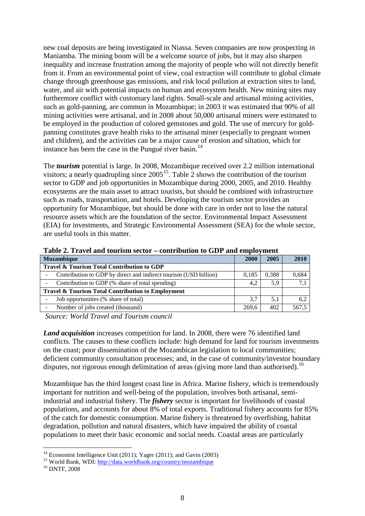new coal deposits are being investigated in Niassa. Seven companies are now prospecting in Maniamba. The mining boom will be a welcome source of jobs, but it may also sharpen inequality and increase frustration among the majority of people who will not directly benefit from it. From an environmental point of view, coal extraction will contribute to global climate change through greenhouse gas emissions, and risk local pollution at extraction sites to land, water, and air with potential impacts on human and ecosystem health. New mining sites may furthermore conflict with customary land rights. Small-scale and artisanal mining activities, such as gold-panning, are common in Mozambique; in 2003 it was estimated that 90% of all mining activities were artisanal, and in 2008 about 50,000 artisanal miners were estimated to be employed in the production of colored gemstones and gold. The use of mercury for goldpanning constitutes grave health risks to the artisanal miner (especially to pregnant women and children), and the activities can be a major cause of erosion and siltation, which for instance has been the case in the Pungué river basin.<sup>[14](#page-9-0)</sup>

The *tourism* potential is large. In 2008, Mozambique received over 2.2 million international visitors; a nearly quadrupling since  $2005^{15}$  $2005^{15}$  $2005^{15}$ . Table 2 shows the contribution of the tourism sector to GDP and job opportunities in Mozambique during 2000, 2005, and 2010. Healthy ecosystems are the main asset to attract tourists, but should be combined with infrastructure such as roads, transportation, and hotels. Developing the tourism sector provides an opportunity for Mozambique, but should be done with care in order not to lose the natural resource assets which are the foundation of the sector. Environmental Impact Assessment (EIA) for investments, and Strategic Environmental Assessment (SEA) for the whole sector, are useful tools in this matter.

| <b>Mozambique</b>                                                                            | 2000  | 2005  | 2010  |
|----------------------------------------------------------------------------------------------|-------|-------|-------|
| Travel & Tourism Total Contribution to GDP                                                   |       |       |       |
| Contribution to GDP by direct and indirect tourism (USD billion)<br>$\overline{\phantom{a}}$ | 0.185 | 0,388 | 0,684 |
| Contribution to GDP (% share of total spending)<br>$\qquad \qquad -$                         | 4.2   | 5.9   | 7.1   |
| <b>Travel &amp; Tourism Total Contribution to Employment</b>                                 |       |       |       |
| Job opportunities (% share of total)                                                         | 3.7   | 5,1   | 6.2   |
| Number of jobs created (thousand)<br>-                                                       | 269,6 | 402   | 567,5 |
|                                                                                              |       |       |       |

**Table 2. Travel and tourism sector – contribution to GDP and employment**

*Source: World Travel and Tourism council*

*Land acquisition* increases competition for land. In 2008, there were 76 identified land conflicts. The causes to these conflicts include: high demand for land for tourism investments on the coast; poor dissemination of the Mozambican legislation to local communities; deficient community consultation processes; and, in the case of community/investor boundary disputes, not rigorous enough delimitation of areas (giving more land than authorised).<sup>[16](#page-9-2)</sup>

Mozambique has the third longest coast line in Africa. Marine fishery, which is tremendously important for nutrition and well-being of the population, involves both artisanal, semiindustrial and industrial fishery. The *fishery* sector is important for livelihoods of coastal populations, and accounts for about 8% of total exports. Traditional fishery accounts for 85% of the catch for domestic consumption. Marine fishery is threatened by overfishing, habitat degradation, pollution and natural disasters, which have impaired the ability of coastal populations to meet their basic economic and social needs. Coastal areas are particularly

<span id="page-9-1"></span>

<span id="page-9-0"></span><sup>&</sup>lt;sup>14</sup> Economist Intelligence Unit (2011); Yager (2011); and Gavin (2003)<sup>15</sup> World Bank, WDI: <u>http://data.worldbank.org/country/mozambique</u> <sup>16</sup> DNTF, 2008

<span id="page-9-2"></span>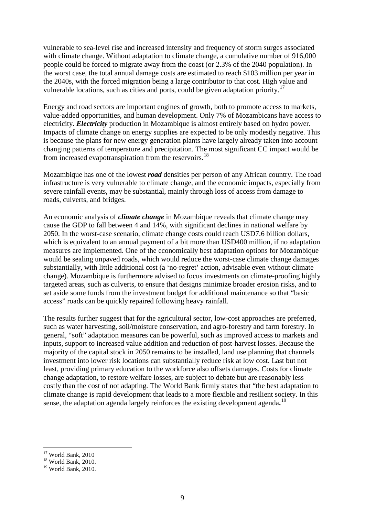vulnerable to sea-level rise and increased intensity and frequency of storm surges associated with climate change. Without adaptation to climate change, a cumulative number of 916,000 people could be forced to migrate away from the coast (or 2.3% of the 2040 population). In the worst case, the total annual damage costs are estimated to reach \$103 million per year in the 2040s, with the forced migration being a large contributor to that cost. High value and vulnerable locations, such as cities and ports, could be given adaptation priority.<sup>[17](#page-10-0)</sup>

Energy and road sectors are important engines of growth, both to promote access to markets, value-added opportunities, and human development. Only 7% of Mozambicans have access to electricity. *Electricity* production in Mozambique is almost entirely based on hydro power. Impacts of climate change on energy supplies are expected to be only modestly negative. This is because the plans for new energy generation plants have largely already taken into account changing patterns of temperature and precipitation. The most significant CC impact would be from increased evapotranspiration from the reservoirs.<sup>[18](#page-10-1)</sup>

Mozambique has one of the lowest *road* densities per person of any African country. The road infrastructure is very vulnerable to climate change, and the economic impacts, especially from severe rainfall events, may be substantial, mainly through loss of access from damage to roads, culverts, and bridges.

An economic analysis of *climate change* in Mozambique reveals that climate change may cause the GDP to fall between 4 and 14%, with significant declines in national welfare by 2050. In the worst-case scenario, climate change costs could reach USD7.6 billion dollars, which is equivalent to an annual payment of a bit more than USD400 million, if no adaptation measures are implemented. One of the economically best adaptation options for Mozambique would be sealing unpaved roads, which would reduce the worst-case climate change damages substantially, with little additional cost (a 'no-regret' action, advisable even without climate change). Mozambique is furthermore advised to focus investments on climate-proofing highly targeted areas, such as culverts, to ensure that designs minimize broader erosion risks, and to set aside some funds from the investment budget for additional maintenance so that "basic access" roads can be quickly repaired following heavy rainfall.

The results further suggest that for the agricultural sector, low-cost approaches are preferred, such as water harvesting, soil/moisture conservation, and agro-forestry and farm forestry. In general, "soft" adaptation measures can be powerful, such as improved access to markets and inputs, support to increased value addition and reduction of post-harvest losses. Because the majority of the capital stock in 2050 remains to be installed, land use planning that channels investment into lower risk locations can substantially reduce risk at low cost. Last but not least, providing primary education to the workforce also offsets damages. Costs for climate change adaptation, to restore welfare losses, are subject to debate but are reasonably less costly than the cost of not adapting. The World Bank firmly states that "the best adaptation to climate change is rapid development that leads to a more flexible and resilient society. In this sense, the adaptation agenda largely reinforces the existing development agenda**.** [19](#page-10-2)

<span id="page-10-0"></span> $17$  World Bank, 2010<br> $18$  World Bank, 2010.

<span id="page-10-1"></span>

<span id="page-10-2"></span> $19$  World Bank, 2010.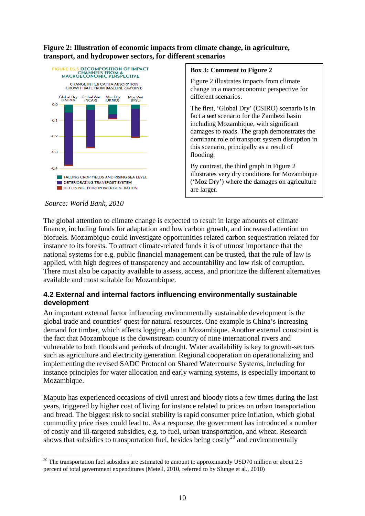#### **Figure 2: Illustration of economic impacts from climate change, in agriculture, transport, and hydropower sectors, for different scenarios**



#### *Source: World Bank, 2010*

#### **Box 3: Comment to Figure 2**

Figure 2 illustrates impacts from climate change in a macroeconomic perspective for different scenarios.

The first, 'Global Dry' (CSIRO) scenario is in fact a *wet* scenario for the Zambezi basin including Mozambique, with significant damages to roads. The graph demonstrates the dominant role of transport system disruption in this scenario, principally as a result of flooding.

By contrast, the third graph in Figure 2 illustrates very dry conditions for Mozambique ('Moz Dry') where the damages on agriculture are larger.

The global attention to climate change is expected to result in large amounts of climate finance, including funds for adaptation and low carbon growth, and increased attention on biofuels. Mozambique could investigate opportunities related carbon sequestration related for instance to its forests. To attract climate-related funds it is of utmost importance that the national systems for e.g. public financial management can be trusted, that the rule of law is applied, with high degrees of transparency and accountability and low risk of corruption. There must also be capacity available to assess, access, and prioritize the different alternatives available and most suitable for Mozambique.

#### <span id="page-11-0"></span>**4.2 External and internal factors influencing environmentally sustainable development**

An important external factor influencing environmentally sustainable development is the global trade and countries' quest for natural resources. One example is China's increasing demand for timber, which affects logging also in Mozambique. Another external constraint is the fact that Mozambique is the downstream country of nine international rivers and vulnerable to both floods and periods of drought. Water availability is key to growth-sectors such as agriculture and electricity generation. Regional cooperation on operationalizing and implementing the revised SADC Protocol on Shared Watercourse Systems, including for instance principles for water allocation and early warning systems, is especially important to Mozambique.

Maputo has experienced occasions of civil unrest and bloody riots a few times during the last years, triggered by higher cost of living for instance related to prices on urban transportation and bread. The biggest risk to social stability is rapid consumer price inflation, which global commodity price rises could lead to. As a response, the government has introduced a number of costly and ill-targeted subsidies, e.g. to fuel, urban transportation, and wheat. Research shows that subsidies to transportation fuel, besides being costly<sup>[20](#page-11-1)</sup> and environmentally

<span id="page-11-1"></span> $20$  The transportation fuel subsidies are estimated to amount to approximately USD70 million or about 2.5 percent of total government expenditures (Metell, 2010, referred to by Slunge et al., 2010)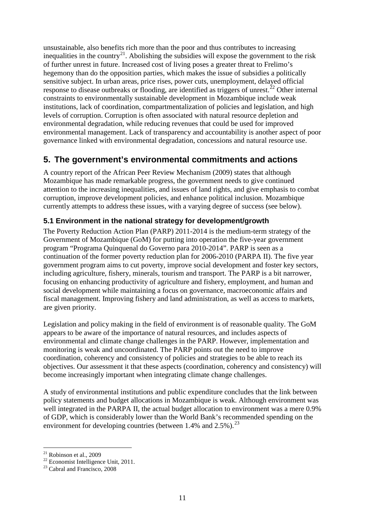unsustainable, also benefits rich more than the poor and thus contributes to increasing inequalities in the country<sup>[21](#page-12-2)</sup>. Abolishing the subsidies will expose the government to the risk of further unrest in future. Increased cost of living poses a greater threat to Frelimo's hegemony than do the opposition parties, which makes the issue of subsidies a politically sensitive subject. In urban areas, price rises, power cuts, unemployment, delayed official response to disease outbreaks or flooding, are identified as triggers of unrest.<sup>[22](#page-12-3)</sup> Other internal constraints to environmentally sustainable development in Mozambique include weak institutions, lack of coordination, compartmentalization of policies and legislation, and high levels of corruption. Corruption is often associated with natural resource depletion and environmental degradation, while reducing revenues that could be used for improved environmental management. Lack of transparency and accountability is another aspect of poor governance linked with environmental degradation, concessions and natural resource use.

### <span id="page-12-0"></span>**5. The government's environmental commitments and actions**

A country report of the African Peer Review Mechanism (2009) states that although Mozambique has made remarkable progress, the government needs to give continued attention to the increasing inequalities, and issues of land rights, and give emphasis to combat corruption, improve development policies, and enhance political inclusion. Mozambique currently attempts to address these issues, with a varying degree of success (see below).

### <span id="page-12-1"></span>**5.1 Environment in the national strategy for development/growth**

The Poverty Reduction Action Plan (PARP) 2011-2014 is the medium-term strategy of the Government of Mozambique (GoM) for putting into operation the five-year government program "Programa Quinquenal do Governo para 2010-2014". PARP is seen as a continuation of the former poverty reduction plan for 2006-2010 (PARPA II). The five year government program aims to cut poverty, improve social development and foster key sectors, including agriculture, fishery, minerals, tourism and transport. The PARP is a bit narrower, focusing on enhancing productivity of agriculture and fishery, employment, and human and social development while maintaining a focus on governance, macroeconomic affairs and fiscal management. Improving fishery and land administration, as well as access to markets, are given priority.

Legislation and policy making in the field of environment is of reasonable quality. The GoM appears to be aware of the importance of natural resources, and includes aspects of environmental and climate change challenges in the PARP. However*,* implementation and monitoring is weak and uncoordinated. The PARP points out the need to improve coordination, coherency and consistency of policies and strategies to be able to reach its objectives. Our assessment it that these aspects (coordination, coherency and consistency) will become increasingly important when integrating climate change challenges.

A study of environmental institutions and public expenditure concludes that the link between policy statements and budget allocations in Mozambique is weak. Although environment was well integrated in the PARPA II, the actual budget allocation to environment was a mere 0.9% of GDP, which is considerably lower than the World Bank's recommended spending on the environment for developing countries (between 1.4% and  $2.5\%$ ).<sup>[23](#page-12-4)</sup>

<span id="page-12-3"></span><span id="page-12-2"></span><sup>&</sup>lt;sup>21</sup> Robinson et al., 2009<br><sup>22</sup> Economist Intelligence Unit, 2011.<br><sup>23</sup> Cabral and Francisco, 2008

<span id="page-12-4"></span>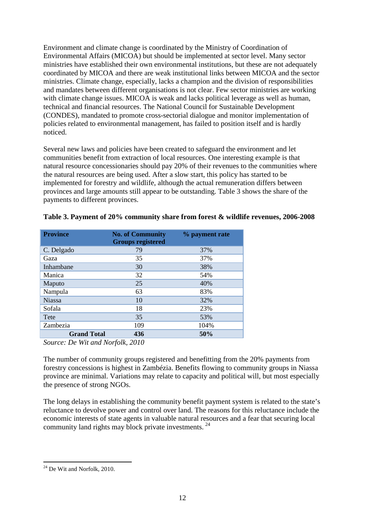Environment and climate change is coordinated by the Ministry of Coordination of Environmental Affairs (MICOA) but should be implemented at sector level. Many sector ministries have established their own environmental institutions, but these are not adequately coordinated by MICOA and there are weak institutional links between MICOA and the sector ministries. Climate change, especially, lacks a champion and the division of responsibilities and mandates between different organisations is not clear. Few sector ministries are working with climate change issues. MICOA is weak and lacks political leverage as well as human, technical and financial resources. The National Council for Sustainable Development (CONDES), mandated to promote cross-sectorial dialogue and monitor implementation of policies related to environmental management, has failed to position itself and is hardly noticed.

Several new laws and policies have been created to safeguard the environment and let communities benefit from extraction of local resources. One interesting example is that natural resource concessionaries should pay 20% of their revenues to the communities where the natural resources are being used. After a slow start, this policy has started to be implemented for forestry and wildlife, although the actual remuneration differs between provinces and large amounts still appear to be outstanding. Table 3 shows the share of the payments to different provinces.

| <b>Province</b>                                     | <b>No. of Community</b><br><b>Groups registered</b> | % payment rate |
|-----------------------------------------------------|-----------------------------------------------------|----------------|
| C. Delgado                                          | 79                                                  | 37%            |
| Gaza                                                | 35                                                  | 37%            |
| Inhambane                                           | 30                                                  | 38%            |
| Manica                                              | 32                                                  | 54%            |
| Maputo                                              | 25                                                  | 40%            |
| Nampula                                             | 63                                                  | 83%            |
| <b>Niassa</b>                                       | 10                                                  | 32%            |
| Sofala                                              | 18                                                  | 23%            |
| Tete                                                | 35                                                  | 53%            |
| Zambezia                                            | 109                                                 | 104%           |
| <b>Grand Total</b>                                  | 436                                                 | 50%            |
| $T = T I T^*$ , $T = T I T$ , $T = T I T$<br>$\sim$ | 2010                                                |                |

|  |  |  |  | Table 3. Payment of 20% community share from forest & wildlife revenues, 2006-2008 |  |
|--|--|--|--|------------------------------------------------------------------------------------|--|
|  |  |  |  |                                                                                    |  |

*Source: De Wit and Norfolk, 2010*

The number of community groups registered and benefitting from the 20% payments from forestry concessions is highest in Zambézia. Benefits flowing to community groups in Niassa province are minimal. Variations may relate to capacity and political will, but most especially the presence of strong NGOs.

The long delays in establishing the community benefit payment system is related to the state's reluctance to devolve power and control over land. The reasons for this reluctance include the economic interests of state agents in valuable natural resources and a fear that securing local community land rights may block private investments.<sup>[24](#page-13-0)</sup>

<span id="page-13-0"></span> $24$  De Wit and Norfolk, 2010.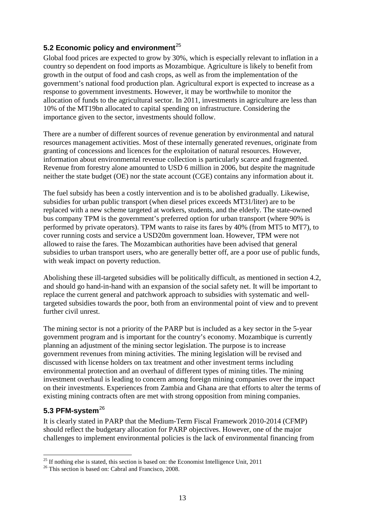### <span id="page-14-0"></span>**5.2 Economic policy and environment**<sup>[25](#page-14-2)</sup>

Global food prices are expected to grow by 30%, which is especially relevant to inflation in a country so dependent on food imports as Mozambique. Agriculture is likely to benefit from growth in the output of food and cash crops, as well as from the implementation of the government's national food production plan. Agricultural export is expected to increase as a response to government investments. However, it may be worthwhile to monitor the allocation of funds to the agricultural sector. In 2011, investments in agriculture are less than 10% of the MT19bn allocated to capital spending on infrastructure. Considering the importance given to the sector, investments should follow.

There are a number of different sources of revenue generation by environmental and natural resources management activities. Most of these internally generated revenues, originate from granting of concessions and licences for the exploitation of natural resources. However, information about environmental revenue collection is particularly scarce and fragmented. Revenue from forestry alone amounted to USD 6 million in 2006, but despite the magnitude neither the state budget (OE) nor the state account (CGE) contains any information about it.

The fuel subsidy has been a costly intervention and is to be abolished gradually. Likewise, subsidies for urban public transport (when diesel prices exceeds MT31/liter) are to be replaced with a new scheme targeted at workers, students, and the elderly. The state-owned bus company TPM is the government's preferred option for urban transport (where 90% is performed by private operators). TPM wants to raise its fares by 40% (from MT5 to MT7), to cover running costs and service a USD20m government loan. However, TPM were not allowed to raise the fares. The Mozambican authorities have been advised that general subsidies to urban transport users, who are generally better off, are a poor use of public funds, with weak impact on poverty reduction.

Abolishing these ill-targeted subsidies will be politically difficult, as mentioned in section 4.2, and should go hand-in-hand with an expansion of the social safety net. It will be important to replace the current general and patchwork approach to subsidies with systematic and welltargeted subsidies towards the poor, both from an environmental point of view and to prevent further civil unrest.

The mining sector is not a priority of the PARP but is included as a key sector in the 5-year government program and is important for the country's economy. Mozambique is currently planning an adjustment of the mining sector legislation. The purpose is to increase government revenues from mining activities. The mining legislation will be revised and discussed with license holders on tax treatment and other investment terms including environmental protection and an overhaul of different types of mining titles. The mining investment overhaul is leading to concern among foreign mining companies over the impact on their investments. Experiences from Zambia and Ghana are that efforts to alter the terms of existing mining contracts often are met with strong opposition from mining companies.

#### <span id="page-14-1"></span>5.3 PFM-system<sup>[26](#page-14-3)</sup>

It is clearly stated in PARP that the Medium-Term Fiscal Framework 2010-2014 (CFMP) should reflect the budgetary allocation for PARP objectives. However, one of the major challenges to implement environmental policies is the lack of environmental financing from

<span id="page-14-2"></span> $^{25}$  If nothing else is stated, this section is based on: the Economist Intelligence Unit, 2011  $^{26}$  This section is based on: Cabral and Francisco, 2008.

<span id="page-14-3"></span>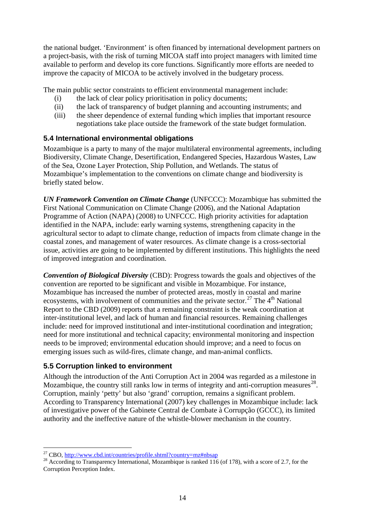the national budget. 'Environment' is often financed by international development partners on a project-basis, with the risk of turning MICOA staff into project managers with limited time available to perform and develop its core functions. Significantly more efforts are needed to improve the capacity of MICOA to be actively involved in the budgetary process.

The main public sector constraints to efficient environmental management include:

- (i) the lack of clear policy prioritisation in policy documents;
- (ii) the lack of transparency of budget planning and accounting instruments; and
- (iii) the sheer dependence of external funding which implies that important resource negotiations take place outside the framework of the state budget formulation.

#### <span id="page-15-0"></span>**5.4 International environmental obligations**

Mozambique is a party to many of the major multilateral environmental agreements, including Biodiversity, Climate Change, Desertification, Endangered Species, Hazardous Wastes, Law of the Sea, Ozone Layer Protection, Ship Pollution, and Wetlands. The status of Mozambique's implementation to the conventions on climate change and biodiversity is briefly stated below.

*UN Framework Convention on Climate Change* (UNFCCC): Mozambique has submitted the First National Communication on Climate Change (2006), and the National Adaptation Programme of Action (NAPA) (2008) to UNFCCC. High priority activities for adaptation identified in the NAPA, include: early warning systems, strengthening capacity in the agricultural sector to adapt to climate change, reduction of impacts from climate change in the coastal zones, and management of water resources. As climate change is a cross-sectorial issue, activities are going to be implemented by different institutions. This highlights the need of improved integration and coordination.

*Convention of Biological Diversity* (CBD): Progress towards the goals and objectives of the convention are reported to be significant and visible in Mozambique. For instance, Mozambique has increased the number of protected areas, mostly in coastal and marine ecosystems, with involvement of communities and the private sector.<sup>[27](#page-15-2)</sup> The  $4<sup>th</sup>$  National Report to the CBD (2009) reports that a remaining constraint is the weak coordination at inter-institutional level, and lack of human and financial resources. Remaining challenges include: need for improved institutional and inter-institutional coordination and integration; need for more institutional and technical capacity; environmental monitoring and inspection needs to be improved; environmental education should improve; and a need to focus on emerging issues such as wild-fires, climate change, and man-animal conflicts.

#### <span id="page-15-1"></span>**5.5 Corruption linked to environment**

Although the introduction of the Anti Corruption Act in 2004 was regarded as a milestone in Mozambique, the country still ranks low in terms of integrity and anti-corruption measures<sup>28</sup>. Corruption, mainly 'petty' but also 'grand' corruption, remains a significant problem. According to Transparency International (2007) key challenges in Mozambique include: lack of investigative power of the Gabinete Central de Combate à Corrupção (GCCC), its limited authority and the ineffective nature of the whistle-blower mechanism in the country.

<span id="page-15-3"></span><span id="page-15-2"></span><sup>&</sup>lt;sup>27</sup> CBO, <u>http://www.cbd.int/countries/profile.shtml?country=mz#nbsap</u><br><sup>28</sup> According to Transparency International, Mozambique is ranked 116 (of 178), with a score of 2.7, for the Corruption Perception Index.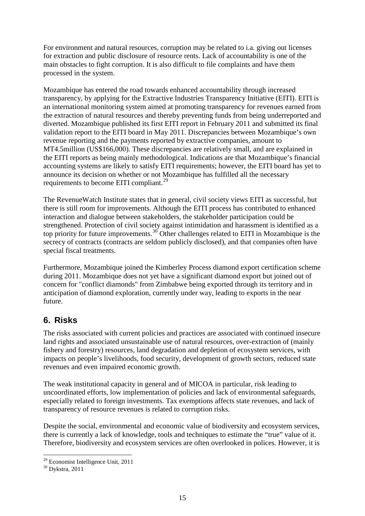For environment and natural resources, corruption may be related to i.a. giving out licenses for extraction and public disclosure of resource rents. Lack of accountability is one of the main obstacles to fight corruption. It is also difficult to file complaints and have them processed in the system.

Mozambique has entered the road towards enhanced accountability through increased transparency, by applying for the Extractive Industries Transparency Initiative (EITI). EITI is an international monitoring system aimed at promoting transparency for revenues earned from the extraction of natural resources and thereby preventing funds from being underreported and diverted. Mozambique published its first EITI report in February 2011 and submitted its final validation report to the EITI board in May 2011. Discrepancies between Mozambique's own revenue reporting and the payments reported by extractive companies, amount to MT4.5million (US\$166,000). These discrepancies are relatively small, and are explained in the EITI reports as being mainly methodological. Indications are that Mozambique's financial accounting systems are likely to satisfy EITI requirements; however, the EITI board has yet to announce its decision on whether or not Mozambique has fulfilled all the necessary requirements to become EITI compliant.<sup>[29](#page-16-1)</sup>

The RevenueWatch Institute states that in general, civil society views EITI as successful, but there is still room for improvements. Although the EITI process has contributed to enhanced interaction and dialogue between stakeholders, the stakeholder participation could be strengthened. Protection of civil society against intimidation and harassment is identified as a top priority for future improvements.<sup>[30](#page-16-2)</sup> Other challenges related to EITI in Mozambique is the secrecy of contracts (contracts are seldom publicly disclosed), and that companies often have special fiscal treatments.

Furthermore, Mozambique joined the Kimberley Process diamond export certification scheme during 2011. Mozambique does not yet have a significant diamond export but joined out of concern for "conflict diamonds" from Zimbabwe being exported through its territory and in anticipation of diamond exploration, currently under way, leading to exports in the near future.

## <span id="page-16-0"></span>**6. Risks**

The risks associated with current policies and practices are associated with continued insecure land rights and associated unsustainable use of natural resources, over-extraction of (mainly fishery and forestry) resources, land degradation and depletion of ecosystem services, with impacts on people's livelihoods, food security, development of growth sectors, reduced state revenues and even impaired economic growth.

The weak institutional capacity in general and of MICOA in particular, risk leading to uncoordinated efforts, low implementation of policies and lack of environmental safeguards, especially related to foreign investments. Tax exemptions affects state revenues, and lack of transparency of resource revenues is related to corruption risks.

Despite the social, environmental and economic value of biodiversity and ecosystem services, there is currently a lack of knowledge, tools and techniques to estimate the "true" value of it. Therefore, biodiversity and ecosystem services are often overlooked in polices. However, it is

<span id="page-16-1"></span> $^{29}$  Economist Intelligence Unit, 2011<br> $^{30}$  Dykstra, 2011

<span id="page-16-2"></span>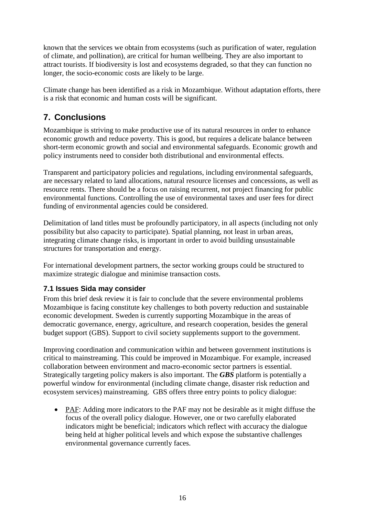known that the services we obtain from ecosystems (such as purification of water, regulation of climate, and pollination), are critical for human wellbeing. They are also important to attract tourists. If biodiversity is lost and ecosystems degraded, so that they can function no longer, the socio-economic costs are likely to be large.

Climate change has been identified as a risk in Mozambique. Without adaptation efforts, there is a risk that economic and human costs will be significant.

# <span id="page-17-0"></span>**7. Conclusions**

Mozambique is striving to make productive use of its natural resources in order to enhance economic growth and reduce poverty. This is good, but requires a delicate balance between short-term economic growth and social and environmental safeguards. Economic growth and policy instruments need to consider both distributional and environmental effects.

Transparent and participatory policies and regulations, including environmental safeguards, are necessary related to land allocations, natural resource licenses and concessions, as well as resource rents. There should be a focus on raising recurrent, not project financing for public environmental functions. Controlling the use of environmental taxes and user fees for direct funding of environmental agencies could be considered.

Delimitation of land titles must be profoundly participatory, in all aspects (including not only possibility but also capacity to participate). Spatial planning, not least in urban areas, integrating climate change risks, is important in order to avoid building unsustainable structures for transportation and energy.

For international development partners, the sector working groups could be structured to maximize strategic dialogue and minimise transaction costs.

### <span id="page-17-1"></span>**7.1 Issues Sida may consider**

From this brief desk review it is fair to conclude that the severe environmental problems Mozambique is facing constitute key challenges to both poverty reduction and sustainable economic development. Sweden is currently supporting Mozambique in the areas of democratic governance, energy, agriculture, and research cooperation, besides the general budget support (GBS). Support to civil society supplements support to the government.

Improving coordination and communication within and between government institutions is critical to mainstreaming. This could be improved in Mozambique. For example, increased collaboration between environment and macro-economic sector partners is essential. Strategically targeting policy makers is also important. The *GBS* platform is potentially a powerful window for environmental (including climate change, disaster risk reduction and ecosystem services) mainstreaming. GBS offers three entry points to policy dialogue:

• PAF: Adding more indicators to the PAF may not be desirable as it might diffuse the focus of the overall policy dialogue. However, one or two carefully elaborated indicators might be beneficial; indicators which reflect with accuracy the dialogue being held at higher political levels and which expose the substantive challenges environmental governance currently faces.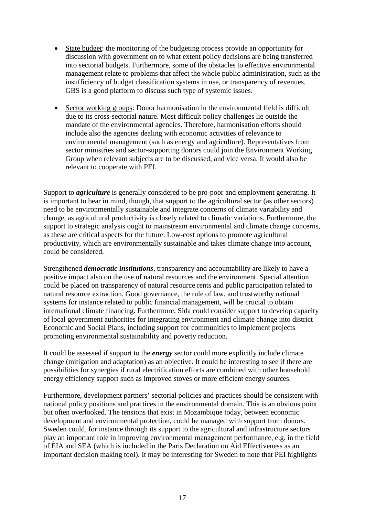- State budget: the monitoring of the budgeting process provide an opportunity for discussion with government on to what extent policy decisions are being transferred into sectorial budgets. Furthermore, some of the obstacles to effective environmental management relate to problems that affect the whole public administration, such as the insufficiency of budget classification systems in use, or transparency of revenues. GBS is a good platform to discuss such type of systemic issues.
- Sector working groups: Donor harmonisation in the environmental field is difficult due to its cross-sectorial nature. Most difficult policy challenges lie outside the mandate of the environmental agencies. Therefore, harmonisation efforts should include also the agencies dealing with economic activities of relevance to environmental management (such as energy and agriculture). Representatives from sector ministries and sector-supporting donors could join the Environment Working Group when relevant subjects are to be discussed, and vice versa. It would also be relevant to cooperate with PEI.

Support to *agriculture* is generally considered to be pro-poor and employment generating. It is important to bear in mind, though, that support to the agricultural sector (as other sectors) need to be environmentally sustainable and integrate concerns of climate variability and change, as agricultural productivity is closely related to climatic variations. Furthermore, the support to strategic analysis ought to mainstream environmental and climate change concerns, as these are critical aspects for the future. Low-cost options to promote agricultural productivity, which are environmentally sustainable and takes climate change into account, could be considered.

Strengthened *democratic institutions*, transparency and accountability are likely to have a positive impact also on the use of natural resources and the environment. Special attention could be placed on transparency of natural resource rents and public participation related to natural resource extraction. Good governance, the rule of law, and trustworthy national systems for instance related to public financial management, will be crucial to obtain international climate financing. Furthermore, Sida could consider support to develop capacity of local government authorities for integrating environment and climate change into district Economic and Social Plans, including support for communities to implement projects promoting environmental sustainability and poverty reduction.

It could be assessed if support to the *energy* sector could more explicitly include climate change (mitigation and adaptation) as an objective. It could be interesting to see if there are possibilities for synergies if rural electrification efforts are combined with other household energy efficiency support such as improved stoves or more efficient energy sources.

Furthermore, development partners' sectorial policies and practices should be consistent with national policy positions and practices in the environmental domain. This is an obvious point but often overlooked. The tensions that exist in Mozambique today, between economic development and environmental protection, could be managed with support from donors. Sweden could, for instance through its support to the agricultural and infrastructure sectors play an important role in improving environmental management performance, e.g. in the field of EIA and SEA (which is included in the Paris Declaration on Aid Effectiveness as an important decision making tool). It may be interesting for Sweden to note that PEI highlights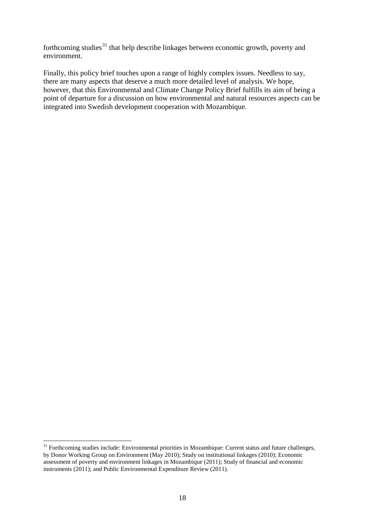forthcoming studies<sup>[31](#page-19-0)</sup> that help describe linkages between economic growth, poverty and environment.

Finally, this policy brief touches upon a range of highly complex issues. Needless to say, there are many aspects that deserve a much more detailed level of analysis. We hope, however, that this Environmental and Climate Change Policy Brief fulfills its aim of being a point of departure for a discussion on how environmental and natural resources aspects can be integrated into Swedish development cooperation with Mozambique.

<span id="page-19-0"></span><sup>&</sup>lt;sup>31</sup> Forthcoming studies include: Environmental priorities in Mozambique: Current status and future challenges, by Donor Working Group on Environment (May 2010); Study on institutional linkages (2010); Economic assessment of poverty and environment linkages in Mozambique (2011); Study of financial and economic instruments (2011); and Public Environmental Expenditure Review (2011).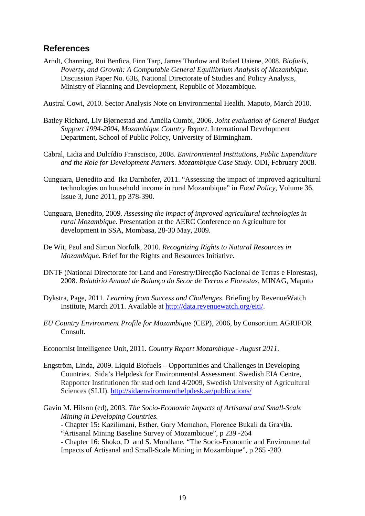### <span id="page-20-0"></span>**References**

Arndt, Channing, Rui Benfica, Finn Tarp, James Thurlow and Rafael Uaiene, 2008. *Biofuels, Poverty, and Growth: A Computable General Equilibrium Analysis of Mozambique*. Discussion Paper No. 63E, National Directorate of Studies and Policy Analysis, Ministry of Planning and Development, Republic of Mozambique.

Austral Cowi, 2010. Sector Analysis Note on Environmental Health. Maputo, March 2010.

- Batley Richard, Liv Bjørnestad and Amélia Cumbi, 2006. *Joint evaluation of General Budget Support 1994-2004, Mozambique Country Report*. International Development Department, School of Public Policy, University of Birmingham.
- Cabral, Lidia and Dulcídio Franscisco, 2008. *Environmental Institutions, Public Expenditure and the Role for Development Parners. Mozambique Case Study*. ODI, February 2008.
- Cunguara, Benedito and Ika Darnhofer, 2011. "Assessing the impact of improved agricultural technologies on household income in rural Mozambique" in *Food Policy*, Volume 36, Issue 3, June 2011, pp 378-390.
- Cunguara, Benedito, 2009*. Assessing the impact of improved agricultural technologies in rural Mozambique.* Presentation at the AERC Conference on Agriculture for development in SSA, Mombasa, 28-30 May, 2009.
- De Wit, Paul and Simon Norfolk, 2010. *Recognizing Rights to Natural Resources in Mozambique*. Brief for the Rights and Resources Initiative.
- DNTF (National Directorate for Land and Forestry/Direcção Nacional de Terras e Florestas), 2008. *Relatório Annual de Balanço do Secor de Terras e Florestas*, MINAG, Maputo
- Dykstra, Page, 2011. *Learning from Success and Challenges*. Briefing by RevenueWatch Institute, March 2011. Available at [http://data.revenuewatch.org/eiti/.](http://data.revenuewatch.org/eiti/)
- *EU Country Environment Profile for Mozambique* (CEP), 2006, by Consortium AGRIFOR Consult.
- Economist Intelligence Unit, 2011*. Country Report Mozambique - August 2011*.
- Engström, Linda, 2009. Liquid Biofuels Opportunities and Challenges in Developing Countries. Sida's Helpdesk for Environmental Assessment. Swedish EIA Centre, Rapporter Institutionen för stad och land 4/2009, Swedish University of Agricultural Sciences (SLU).<http://sidaenvironmenthelpdesk.se/publications/>
- Gavin M. Hilson (ed), 2003. *The Socio-Economic Impacts of Artisanal and Small-Scale Mining in Developing Countries.*

- Chapter 15: Kazilimani, Esther, Gary Mcmahon, Florence Bukali da Gra $\sqrt{Ba}$ . "Artisanal Mining Baseline Survey of Mozambique", p 239 -264

- Chapter 16: Shoko, D and S. Mondlane. "The Socio-Economic and Environmental Impacts of Artisanal and Small-Scale Mining in Mozambique", p 265 -280.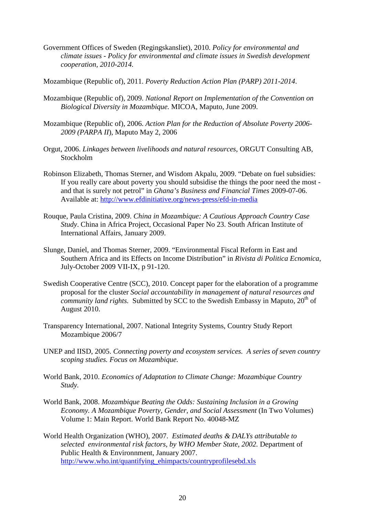Government Offices of Sweden (Regingskansliet), 2010. *Policy for environmental and climate issues - Policy for environmental and climate issues in Swedish development cooperation, 2010-2014.*

Mozambique (Republic of), 2011. *Poverty Reduction Action Plan (PARP) 2011-2014*.

- Mozambique (Republic of), 2009. *National Report on Implementation of the Convention on Biological Diversity in Mozambique.* MICOA, Maputo, June 2009.
- Mozambique (Republic of), 2006. *Action Plan for the Reduction of Absolute Poverty 2006- 2009 (PARPA II*), Maputo May 2, 2006
- Orgut, 2006. *Linkages between livelihoods and natural resources*, ORGUT Consulting AB, Stockholm
- Robinson Elizabeth, Thomas Sterner, and Wisdom Akpalu, 2009. "Debate on fuel subsidies: If you really care about poverty you should subsidise the things the poor need the most and that is surely not petrol" in *Ghana's Business and Financial Times* 2009-07-06. Available at:<http://www.efdinitiative.org/news-press/efd-in-media>
- Rouque, Paula Cristina, 2009. *China in Mozambique: A Cautious Approach Country Case Study*. China in Africa Project, Occasional Paper No 23. South African Institute of International Affairs, January 2009.
- Slunge, Daniel, and Thomas Sterner, 2009. "Environmental Fiscal Reform in East and Southern Africa and its Effects on Income Distribution" in *Rivista di Politica Ecnomica*, July-October 2009 VII-IX, p 91-120.
- Swedish Cooperative Centre (SCC), 2010. Concept paper for the elaboration of a programme proposal for the cluster *Social accountability in management of natural resources and community land rights.* Submitted by SCC to the Swedish Embassy in Maputo, 20<sup>th</sup> of August 2010.
- Transparency International, 2007. National Integrity Systems, Country Study Report Mozambique 2006/7
- UNEP and IISD, 2005. *Connecting poverty and ecosystem services. A series of seven country scoping studies. Focus on Mozambique.*
- World Bank, 2010. *Economics of Adaptation to Climate Change: Mozambique Country Study.*
- World Bank, 2008. *Mozambique Beating the Odds: Sustaining Inclusion in a Growing Economy. A Mozambique Poverty, Gender, and Social Assessment* (In Two Volumes) Volume 1: Main Report. World Bank Report No. 40048-MZ
- World Health Organization (WHO), 2007. *Estimated deaths & DALYs attributable to selected environmental risk factors, by WHO Member State, 2002.* Department of Public Health & Environnment, January 2007. [http://www.who.int/quantifying\\_ehimpacts/countryprofilesebd.xls](http://www.who.int/quantifying_ehimpacts/countryprofilesebd.xls)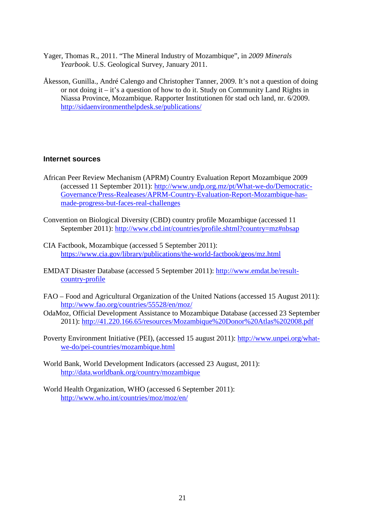- Yager, Thomas R., 2011. "The Mineral Industry of Mozambique", in *2009 Minerals Yearbook*. U.S. Geological Survey, January 2011.
- Åkesson, Gunilla., André Calengo and Christopher Tanner, 2009. It's not a question of doing or not doing it – it's a question of how to do it. Study on Community Land Rights in Niassa Province, Mozambique. Rapporter Institutionen för stad och land, nr. 6/2009. <http://sidaenvironmenthelpdesk.se/publications/>

#### <span id="page-22-0"></span>**Internet sources**

- African Peer Review Mechanism (APRM) Country Evaluation Report Mozambique 2009 (accessed 11 September 2011): [http://www.undp.org.mz/pt/What-we-do/Democratic-](http://www.undp.org.mz/pt/What-we-do/Democratic-Governance/Press-Realeases/APRM-Country-Evaluation-Report-Mozambique-has-made-progress-but-faces-real-challenges)[Governance/Press-Realeases/APRM-Country-Evaluation-Report-Mozambique-has](http://www.undp.org.mz/pt/What-we-do/Democratic-Governance/Press-Realeases/APRM-Country-Evaluation-Report-Mozambique-has-made-progress-but-faces-real-challenges)[made-progress-but-faces-real-challenges](http://www.undp.org.mz/pt/What-we-do/Democratic-Governance/Press-Realeases/APRM-Country-Evaluation-Report-Mozambique-has-made-progress-but-faces-real-challenges)
- Convention on Biological Diversity (CBD) country profile Mozambique (accessed 11 September 2011):<http://www.cbd.int/countries/profile.shtml?country=mz#nbsap>
- CIA Factbook, Mozambique (accessed 5 September 2011): <https://www.cia.gov/library/publications/the-world-factbook/geos/mz.html>
- EMDAT Disaster Database (accessed 5 September 2011): [http://www.emdat.be/result](http://www.emdat.be/result-country-profile)[country-profile](http://www.emdat.be/result-country-profile)
- FAO Food and Agricultural Organization of the United Nations (accessed 15 August 2011): <http://www.fao.org/countries/55528/en/moz/>
- OdaMoz, Official Development Assistance to Mozambique Database (accessed 23 September 2011):<http://41.220.166.65/resources/Mozambique%20Donor%20Atlas%202008.pdf>
- Poverty Environment Initiative (PEI), (accessed 15 august 2011): [http://www.unpei.org/what](http://www.unpei.org/what-we-do/pei-countries/mozambique.html)[we-do/pei-countries/mozambique.html](http://www.unpei.org/what-we-do/pei-countries/mozambique.html)
- World Bank, World Development Indicators (accessed 23 August, 2011): <http://data.worldbank.org/country/mozambique>
- World Health Organization, WHO (accessed 6 September 2011): <http://www.who.int/countries/moz/moz/en/>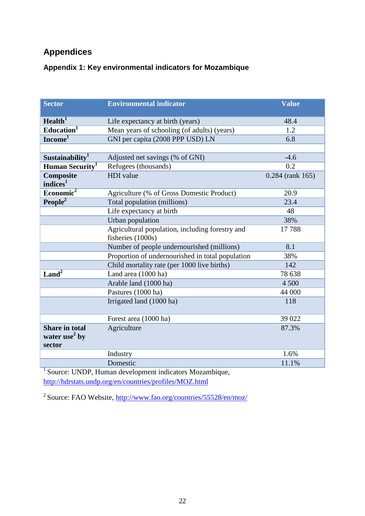# <span id="page-23-0"></span>**Appendices**

## <span id="page-23-1"></span>**Appendix 1: Key environmental indicators for Mozambique**

| <b>Sector</b>                                                | <b>Environmental indicator</b>                                       | <b>Value</b>       |
|--------------------------------------------------------------|----------------------------------------------------------------------|--------------------|
| Health <sup>1</sup>                                          | Life expectancy at birth (years)                                     | 48.4               |
| Education <sup>1</sup>                                       | Mean years of schooling (of adults) (years)                          | 1.2                |
| Income <sup>1</sup>                                          | GNI per capita (2008 PPP USD) LN                                     | 6.8                |
|                                                              |                                                                      |                    |
| Sustainability <sup>1</sup>                                  | Adjusted net savings (% of GNI)                                      | $-4.6$             |
| Human Security <sup>1</sup>                                  | Refugees (thousands)                                                 | 0.2                |
| Composite<br>indices <sup>1</sup>                            | <b>HDI</b> value                                                     | $0.284$ (rank 165) |
| Economic <sup>2</sup>                                        | Agriculture (% of Gross Domestic Product)                            | 20.9               |
| People <sup>2</sup>                                          | Total population (millions)                                          | 23.4               |
|                                                              | Life expectancy at birth                                             | 48                 |
|                                                              | Urban population                                                     | 38%                |
|                                                              | Agricultural population, including forestry and<br>fisheries (1000s) | 17788              |
|                                                              | Number of people undernourished (millions)                           | 8.1                |
|                                                              | Proportion of undernourished in total population                     | 38%                |
|                                                              | Child mortality rate (per 1000 live births)                          | 142                |
| Land <sup>2</sup>                                            | Land area (1000 ha)                                                  | 78 638             |
|                                                              | Arable land (1000 ha)                                                | 4 500              |
|                                                              | Pastures (1000 ha)                                                   | 44 000             |
|                                                              | Irrigated land (1000 ha)                                             | 118                |
|                                                              | Forest area (1000 ha)                                                | 39 022             |
| <b>Share in total</b><br>water use <sup>2</sup> by<br>sector | Agriculture                                                          | 87.3%              |
|                                                              | Industry                                                             | 1.6%               |
|                                                              | Domestic                                                             | 11.1%              |

<sup>1</sup> Source: UNDP, Human development indicators Mozambique, <http://hdrstats.undp.org/en/countries/profiles/MOZ.html>

<sup>2</sup> Source: FAO Website,<http://www.fao.org/countries/55528/en/moz/>